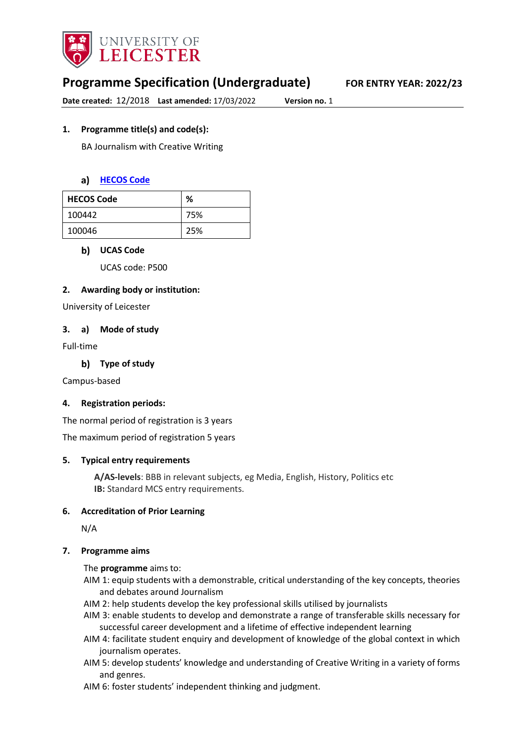

# **Programme Specification (Undergraduate) FOR ENTRY YEAR: 2022/23**

**Date created:** 12/2018 **Last amended:** 17/03/2022 **Version no.** 1

## **1. Programme title(s) and code(s):**

BA Journalism with Creative Writing

#### **[HECOS Code](https://www.hesa.ac.uk/innovation/hecos)**

| <b>HECOS Code</b> | %   |
|-------------------|-----|
| 100442            | 75% |
| 100046            | 25% |

#### **UCAS Code**

UCAS code: P500

#### **2. Awarding body or institution:**

University of Leicester

#### **3. a) Mode of study**

Full-time

**Type of study**

Campus-based

#### **4. Registration periods:**

The normal period of registration is 3 years

The maximum period of registration 5 years

#### **5. Typical entry requirements**

**A/AS-levels**: BBB in relevant subjects, eg Media, English, History, Politics etc **IB:** Standard MCS entry requirements.

#### **6. Accreditation of Prior Learning**

N/A

#### **7. Programme aims**

The **programme** aims to:

- AIM 1: equip students with a demonstrable, critical understanding of the key concepts, theories and debates around Journalism
- AIM 2: help students develop the key professional skills utilised by journalists
- AIM 3: enable students to develop and demonstrate a range of transferable skills necessary for successful career development and a lifetime of effective independent learning
- AIM 4: facilitate student enquiry and development of knowledge of the global context in which journalism operates.
- AIM 5: develop students' knowledge and understanding of Creative Writing in a variety of forms and genres.
- AIM 6: foster students' independent thinking and judgment.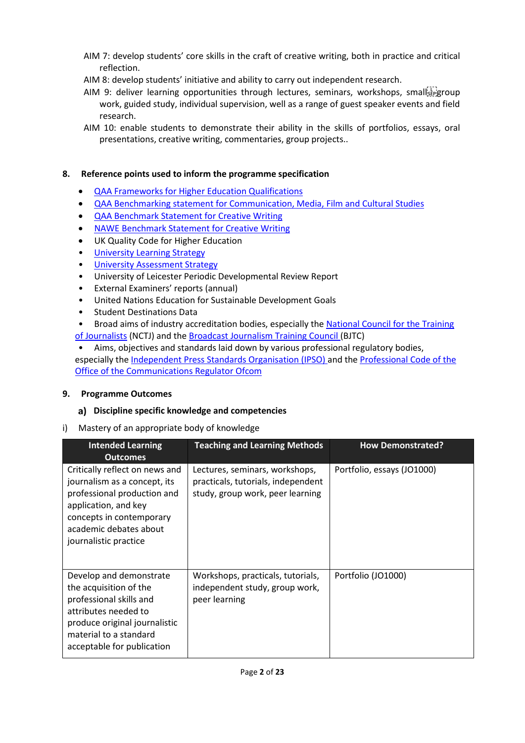- AIM 7: develop students' core skills in the craft of creative writing, both in practice and critical reflection.
- AIM 8: develop students' initiative and ability to carry out independent research.
- AIM 9: deliver learning opportunities through lectures, seminars, workshops, small  $\frac{1}{2}$ work, guided study, individual supervision, well as a range of guest speaker events and field research.
- AIM 10: enable students to demonstrate their ability in the skills of portfolios, essays, oral presentations, creative writing, commentaries, group projects..

## **8. Reference points used to inform the programme specification**

- [QAA Frameworks for Higher Education Qualifications](http://www.qaa.ac.uk/en/Publications/Documents/qualifications-frameworks.pdf)
- [QAA Benchmarking statement for Communication, Media, Film and Cultural Studies](http://www.qaa.ac.uk/en/Publications/Documents/SBS-Communication-Media-Film-and-Cultural-Studies-16.pdf%20))
- [QAA Benchmark Statement for Creative Writing](http://www.qaa.ac.uk/docs/qaa/subject-benchmark-statements/sbs-creative-writing-16.pdf)
- [NAWE Benchmark Statement for Creative Writing](file://UOL/root/Departments/Student%20and%20Academic%20Services/Quality%20Office/Programme%20Specifications/2021-22%20Programme%20Specs/CSSAH/MCS/UG/%E2%80%A2%09http:/www.nawe.co.uk/writing-in-education/writing-at-university/research.html)
- UK Quality Code for Higher Education
- University Learnin[g Strategy](https://www2.le.ac.uk/offices/sas2/quality/learnteach)
- [University Assessment Strategy](https://www2.le.ac.uk/offices/sas2/quality/learnteach)
- University of Leicester Periodic Developmental Review Report
- External Examiners' reports (annual)
- United Nations Education for Sustainable Development Goals
- Student Destinations Data
- Broad aims of industry accreditation bodies, especially the [National Council for the Training](http://www.nctj.com/)  [of Journalists](http://www.nctj.com/) (NCTJ) and the [Broadcast Journalism Training Council \(](http://www.bjtc.org.uk/)BJTC)
- Aims, objectives and standards laid down by various professional regulatory bodies, especially the *Independent Press Standards Organisation (IPSO)* and the *Professional Code of the* [Office of the Communications Regulator Ofcom](file://UOL/root/Departments/Student%20and%20Academic%20Services/Quality%20Office/Programme%20Specifications/2021-22%20Programme%20Specs/CSSAH/MCS/UG/%E2%80%A2%09%20https:/www.ofcom.org.uk/tv-radio-and-on-demand/broadcast-codes/broadcast-code)

## **9. Programme Outcomes**

## **Discipline specific knowledge and competencies**

i) Mastery of an appropriate body of knowledge

| <b>Intended Learning</b><br><b>Outcomes</b>                                                                                                                                                          | <b>Teaching and Learning Methods</b>                                                                     | <b>How Demonstrated?</b>   |
|------------------------------------------------------------------------------------------------------------------------------------------------------------------------------------------------------|----------------------------------------------------------------------------------------------------------|----------------------------|
| Critically reflect on news and<br>journalism as a concept, its<br>professional production and<br>application, and key<br>concepts in contemporary<br>academic debates about<br>journalistic practice | Lectures, seminars, workshops,<br>practicals, tutorials, independent<br>study, group work, peer learning | Portfolio, essays (JO1000) |
| Develop and demonstrate<br>the acquisition of the<br>professional skills and<br>attributes needed to<br>produce original journalistic<br>material to a standard<br>acceptable for publication        | Workshops, practicals, tutorials,<br>independent study, group work,<br>peer learning                     | Portfolio (JO1000)         |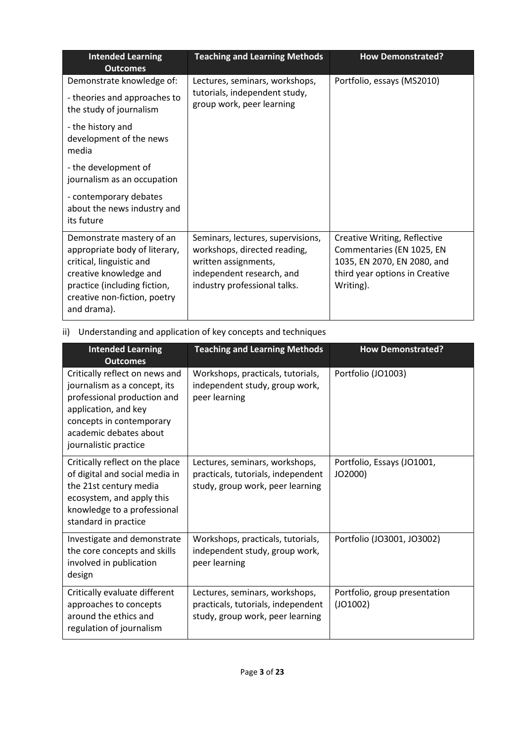| <b>Intended Learning</b><br><b>Outcomes</b>                                                                                                                                                     | <b>Teaching and Learning Methods</b>                                                                                                                   | <b>How Demonstrated?</b>                                                                                                                |
|-------------------------------------------------------------------------------------------------------------------------------------------------------------------------------------------------|--------------------------------------------------------------------------------------------------------------------------------------------------------|-----------------------------------------------------------------------------------------------------------------------------------------|
| Demonstrate knowledge of:                                                                                                                                                                       | Lectures, seminars, workshops,                                                                                                                         | Portfolio, essays (MS2010)                                                                                                              |
| - theories and approaches to<br>the study of journalism                                                                                                                                         | tutorials, independent study,<br>group work, peer learning                                                                                             |                                                                                                                                         |
| - the history and<br>development of the news<br>media                                                                                                                                           |                                                                                                                                                        |                                                                                                                                         |
| - the development of<br>journalism as an occupation                                                                                                                                             |                                                                                                                                                        |                                                                                                                                         |
| - contemporary debates<br>about the news industry and<br>its future                                                                                                                             |                                                                                                                                                        |                                                                                                                                         |
| Demonstrate mastery of an<br>appropriate body of literary,<br>critical, linguistic and<br>creative knowledge and<br>practice (including fiction,<br>creative non-fiction, poetry<br>and drama). | Seminars, lectures, supervisions,<br>workshops, directed reading,<br>written assignments,<br>independent research, and<br>industry professional talks. | Creative Writing, Reflective<br>Commentaries (EN 1025, EN<br>1035, EN 2070, EN 2080, and<br>third year options in Creative<br>Writing). |

# ii) Understanding and application of key concepts and techniques

| <b>Intended Learning</b><br><b>Outcomes</b>                                                                                                                                                          | <b>Teaching and Learning Methods</b>                                                                     | <b>How Demonstrated?</b>                  |
|------------------------------------------------------------------------------------------------------------------------------------------------------------------------------------------------------|----------------------------------------------------------------------------------------------------------|-------------------------------------------|
| Critically reflect on news and<br>journalism as a concept, its<br>professional production and<br>application, and key<br>concepts in contemporary<br>academic debates about<br>journalistic practice | Workshops, practicals, tutorials,<br>independent study, group work,<br>peer learning                     | Portfolio (JO1003)                        |
| Critically reflect on the place<br>of digital and social media in<br>the 21st century media<br>ecosystem, and apply this<br>knowledge to a professional<br>standard in practice                      | Lectures, seminars, workshops,<br>practicals, tutorials, independent<br>study, group work, peer learning | Portfolio, Essays (JO1001,<br>JO2000)     |
| Investigate and demonstrate<br>the core concepts and skills<br>involved in publication<br>design                                                                                                     | Workshops, practicals, tutorials,<br>independent study, group work,<br>peer learning                     | Portfolio (JO3001, JO3002)                |
| Critically evaluate different<br>approaches to concepts<br>around the ethics and<br>regulation of journalism                                                                                         | Lectures, seminars, workshops,<br>practicals, tutorials, independent<br>study, group work, peer learning | Portfolio, group presentation<br>(JO1002) |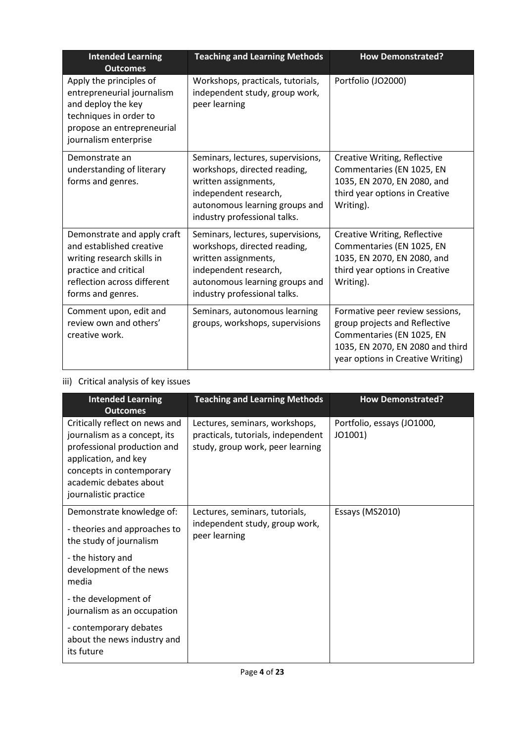| <b>Intended Learning</b><br><b>Outcomes</b>                                                                                                                        | <b>Teaching and Learning Methods</b>                                                                                                                                                 | <b>How Demonstrated?</b>                                                                                                                                               |
|--------------------------------------------------------------------------------------------------------------------------------------------------------------------|--------------------------------------------------------------------------------------------------------------------------------------------------------------------------------------|------------------------------------------------------------------------------------------------------------------------------------------------------------------------|
| Apply the principles of<br>entrepreneurial journalism<br>and deploy the key<br>techniques in order to<br>propose an entrepreneurial<br>journalism enterprise       | Workshops, practicals, tutorials,<br>independent study, group work,<br>peer learning                                                                                                 | Portfolio (JO2000)                                                                                                                                                     |
| Demonstrate an<br>understanding of literary<br>forms and genres.                                                                                                   | Seminars, lectures, supervisions,<br>workshops, directed reading,<br>written assignments,<br>independent research,<br>autonomous learning groups and<br>industry professional talks. | Creative Writing, Reflective<br>Commentaries (EN 1025, EN<br>1035, EN 2070, EN 2080, and<br>third year options in Creative<br>Writing).                                |
| Demonstrate and apply craft<br>and established creative<br>writing research skills in<br>practice and critical<br>reflection across different<br>forms and genres. | Seminars, lectures, supervisions,<br>workshops, directed reading,<br>written assignments,<br>independent research,<br>autonomous learning groups and<br>industry professional talks. | Creative Writing, Reflective<br>Commentaries (EN 1025, EN<br>1035, EN 2070, EN 2080, and<br>third year options in Creative<br>Writing).                                |
| Comment upon, edit and<br>review own and others'<br>creative work.                                                                                                 | Seminars, autonomous learning<br>groups, workshops, supervisions                                                                                                                     | Formative peer review sessions,<br>group projects and Reflective<br>Commentaries (EN 1025, EN<br>1035, EN 2070, EN 2080 and third<br>year options in Creative Writing) |

# iii) Critical analysis of key issues

| <b>Intended Learning</b><br><b>Outcomes</b>                                                                                                                                                          | <b>Teaching and Learning Methods</b>                                                                     | <b>How Demonstrated?</b>              |
|------------------------------------------------------------------------------------------------------------------------------------------------------------------------------------------------------|----------------------------------------------------------------------------------------------------------|---------------------------------------|
| Critically reflect on news and<br>journalism as a concept, its<br>professional production and<br>application, and key<br>concepts in contemporary<br>academic debates about<br>journalistic practice | Lectures, seminars, workshops,<br>practicals, tutorials, independent<br>study, group work, peer learning | Portfolio, essays (JO1000,<br>JO1001) |
| Demonstrate knowledge of:<br>- theories and approaches to<br>the study of journalism                                                                                                                 | Lectures, seminars, tutorials,<br>independent study, group work,<br>peer learning                        | Essays (MS2010)                       |
| - the history and<br>development of the news<br>media                                                                                                                                                |                                                                                                          |                                       |
| - the development of<br>journalism as an occupation                                                                                                                                                  |                                                                                                          |                                       |
| - contemporary debates<br>about the news industry and<br>its future                                                                                                                                  |                                                                                                          |                                       |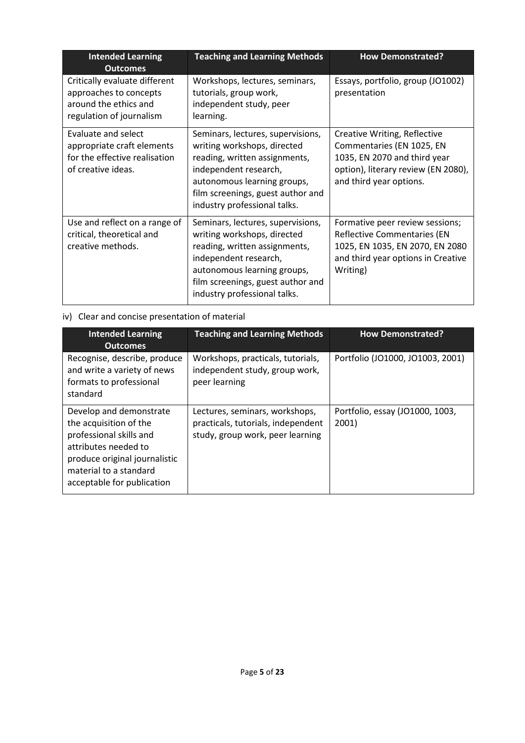| <b>Intended Learning</b><br><b>Outcomes</b>                                                                  | <b>Teaching and Learning Methods</b>                                                                                                                                                                                           | <b>How Demonstrated?</b>                                                                                                                                    |
|--------------------------------------------------------------------------------------------------------------|--------------------------------------------------------------------------------------------------------------------------------------------------------------------------------------------------------------------------------|-------------------------------------------------------------------------------------------------------------------------------------------------------------|
| Critically evaluate different<br>approaches to concepts<br>around the ethics and<br>regulation of journalism | Workshops, lectures, seminars,<br>tutorials, group work,<br>independent study, peer<br>learning.                                                                                                                               | Essays, portfolio, group (JO1002)<br>presentation                                                                                                           |
| Evaluate and select<br>appropriate craft elements<br>for the effective realisation<br>of creative ideas.     | Seminars, lectures, supervisions,<br>writing workshops, directed<br>reading, written assignments,<br>independent research,<br>autonomous learning groups,<br>film screenings, guest author and<br>industry professional talks. | Creative Writing, Reflective<br>Commentaries (EN 1025, EN<br>1035, EN 2070 and third year<br>option), literary review (EN 2080),<br>and third year options. |
| Use and reflect on a range of<br>critical, theoretical and<br>creative methods.                              | Seminars, lectures, supervisions,<br>writing workshops, directed<br>reading, written assignments,<br>independent research,<br>autonomous learning groups,<br>film screenings, guest author and<br>industry professional talks. | Formative peer review sessions;<br><b>Reflective Commentaries (EN</b><br>1025, EN 1035, EN 2070, EN 2080<br>and third year options in Creative<br>Writing)  |

# iv) Clear and concise presentation of material

| <b>Intended Learning</b><br><b>Outcomes</b>                                                                                                                                                   | <b>Teaching and Learning Methods</b>                                                                     | <b>How Demonstrated?</b>                 |
|-----------------------------------------------------------------------------------------------------------------------------------------------------------------------------------------------|----------------------------------------------------------------------------------------------------------|------------------------------------------|
| Recognise, describe, produce<br>and write a variety of news<br>formats to professional<br>standard                                                                                            | Workshops, practicals, tutorials,<br>independent study, group work,<br>peer learning                     | Portfolio (JO1000, JO1003, 2001)         |
| Develop and demonstrate<br>the acquisition of the<br>professional skills and<br>attributes needed to<br>produce original journalistic<br>material to a standard<br>acceptable for publication | Lectures, seminars, workshops,<br>practicals, tutorials, independent<br>study, group work, peer learning | Portfolio, essay (JO1000, 1003,<br>2001) |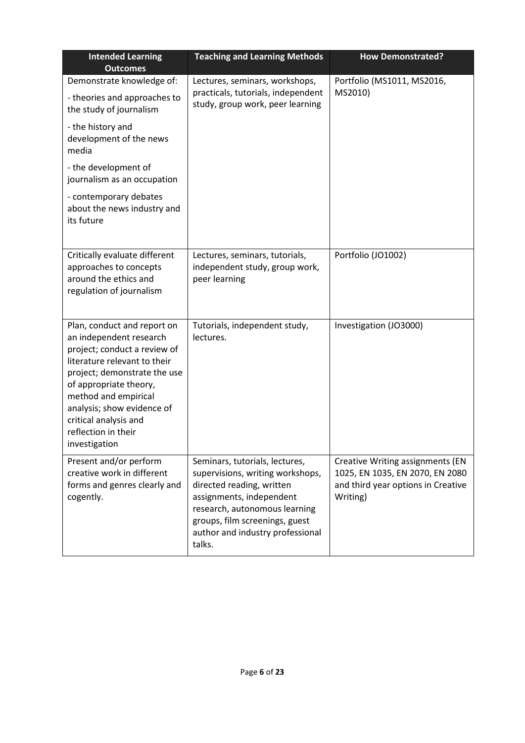| <b>Intended Learning</b><br><b>Outcomes</b>                                                                                                                                                                                                                                                             | <b>Teaching and Learning Methods</b>                                                                                                                                                                                                         | <b>How Demonstrated?</b>                                                                                              |
|---------------------------------------------------------------------------------------------------------------------------------------------------------------------------------------------------------------------------------------------------------------------------------------------------------|----------------------------------------------------------------------------------------------------------------------------------------------------------------------------------------------------------------------------------------------|-----------------------------------------------------------------------------------------------------------------------|
| Demonstrate knowledge of:<br>- theories and approaches to<br>the study of journalism                                                                                                                                                                                                                    | Lectures, seminars, workshops,<br>practicals, tutorials, independent<br>study, group work, peer learning                                                                                                                                     | Portfolio (MS1011, MS2016,<br>MS2010)                                                                                 |
| - the history and<br>development of the news<br>media                                                                                                                                                                                                                                                   |                                                                                                                                                                                                                                              |                                                                                                                       |
| - the development of<br>journalism as an occupation                                                                                                                                                                                                                                                     |                                                                                                                                                                                                                                              |                                                                                                                       |
| - contemporary debates<br>about the news industry and<br>its future                                                                                                                                                                                                                                     |                                                                                                                                                                                                                                              |                                                                                                                       |
| Critically evaluate different<br>approaches to concepts<br>around the ethics and<br>regulation of journalism                                                                                                                                                                                            | Lectures, seminars, tutorials,<br>independent study, group work,<br>peer learning                                                                                                                                                            | Portfolio (JO1002)                                                                                                    |
| Plan, conduct and report on<br>an independent research<br>project; conduct a review of<br>literature relevant to their<br>project; demonstrate the use<br>of appropriate theory,<br>method and empirical<br>analysis; show evidence of<br>critical analysis and<br>reflection in their<br>investigation | Tutorials, independent study,<br>lectures.                                                                                                                                                                                                   | Investigation (JO3000)                                                                                                |
| Present and/or perform<br>creative work in different<br>forms and genres clearly and<br>cogently.                                                                                                                                                                                                       | Seminars, tutorials, lectures,<br>supervisions, writing workshops,<br>directed reading, written<br>assignments, independent<br>research, autonomous learning<br>groups, film screenings, guest<br>author and industry professional<br>talks. | Creative Writing assignments (EN<br>1025, EN 1035, EN 2070, EN 2080<br>and third year options in Creative<br>Writing) |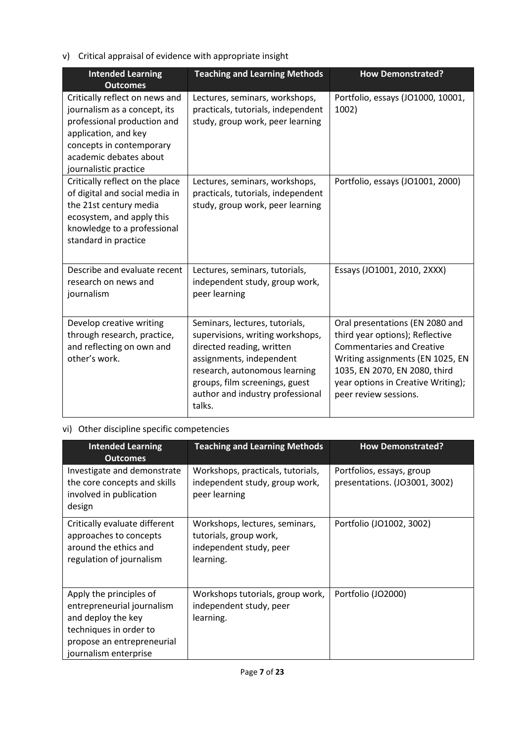v) Critical appraisal of evidence with appropriate insight

| <b>Intended Learning</b><br><b>Outcomes</b>                                                                                                                                                          | <b>Teaching and Learning Methods</b>                                                                                                                                                                                                         | <b>How Demonstrated?</b>                                                                                                                                                                                                                   |
|------------------------------------------------------------------------------------------------------------------------------------------------------------------------------------------------------|----------------------------------------------------------------------------------------------------------------------------------------------------------------------------------------------------------------------------------------------|--------------------------------------------------------------------------------------------------------------------------------------------------------------------------------------------------------------------------------------------|
| Critically reflect on news and<br>journalism as a concept, its<br>professional production and<br>application, and key<br>concepts in contemporary<br>academic debates about<br>journalistic practice | Lectures, seminars, workshops,<br>practicals, tutorials, independent<br>study, group work, peer learning                                                                                                                                     | Portfolio, essays (JO1000, 10001,<br>1002)                                                                                                                                                                                                 |
| Critically reflect on the place<br>of digital and social media in<br>the 21st century media<br>ecosystem, and apply this<br>knowledge to a professional<br>standard in practice                      | Lectures, seminars, workshops,<br>practicals, tutorials, independent<br>study, group work, peer learning                                                                                                                                     | Portfolio, essays (JO1001, 2000)                                                                                                                                                                                                           |
| Describe and evaluate recent<br>research on news and<br>journalism                                                                                                                                   | Lectures, seminars, tutorials,<br>independent study, group work,<br>peer learning                                                                                                                                                            | Essays (JO1001, 2010, 2XXX)                                                                                                                                                                                                                |
| Develop creative writing<br>through research, practice,<br>and reflecting on own and<br>other's work.                                                                                                | Seminars, lectures, tutorials,<br>supervisions, writing workshops,<br>directed reading, written<br>assignments, independent<br>research, autonomous learning<br>groups, film screenings, guest<br>author and industry professional<br>talks. | Oral presentations (EN 2080 and<br>third year options); Reflective<br><b>Commentaries and Creative</b><br>Writing assignments (EN 1025, EN<br>1035, EN 2070, EN 2080, third<br>year options in Creative Writing);<br>peer review sessions. |

# vi) Other discipline specific competencies

| <b>Intended Learning</b><br><b>Outcomes</b>                                                                                                                  | <b>Teaching and Learning Methods</b>                                                             | <b>How Demonstrated?</b>                                   |
|--------------------------------------------------------------------------------------------------------------------------------------------------------------|--------------------------------------------------------------------------------------------------|------------------------------------------------------------|
| Investigate and demonstrate<br>the core concepts and skills<br>involved in publication<br>design                                                             | Workshops, practicals, tutorials,<br>independent study, group work,<br>peer learning             | Portfolios, essays, group<br>presentations. (JO3001, 3002) |
| Critically evaluate different<br>approaches to concepts<br>around the ethics and<br>regulation of journalism                                                 | Workshops, lectures, seminars,<br>tutorials, group work,<br>independent study, peer<br>learning. | Portfolio (JO1002, 3002)                                   |
| Apply the principles of<br>entrepreneurial journalism<br>and deploy the key<br>techniques in order to<br>propose an entrepreneurial<br>journalism enterprise | Workshops tutorials, group work,<br>independent study, peer<br>learning.                         | Portfolio (JO2000)                                         |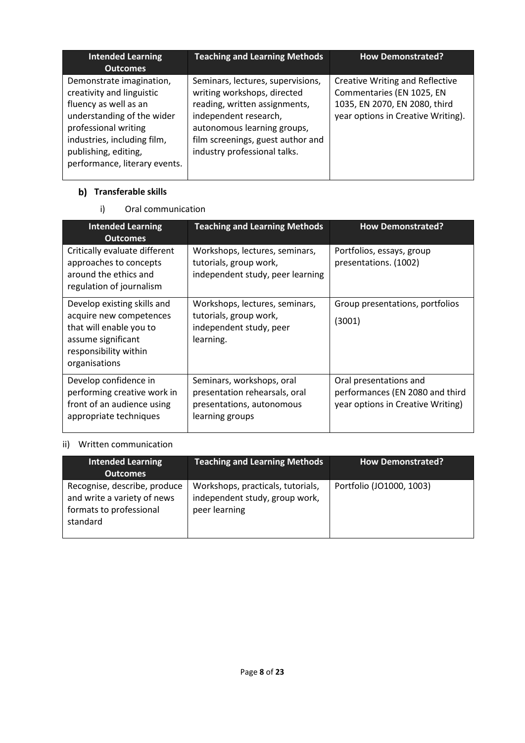| <b>Intended Learning</b><br><b>Outcomes</b>                                                                                                                                                                                  | <b>Teaching and Learning Methods</b>                                                                                                                                                                                           | <b>How Demonstrated?</b>                                                                                                                   |
|------------------------------------------------------------------------------------------------------------------------------------------------------------------------------------------------------------------------------|--------------------------------------------------------------------------------------------------------------------------------------------------------------------------------------------------------------------------------|--------------------------------------------------------------------------------------------------------------------------------------------|
| Demonstrate imagination,<br>creativity and linguistic<br>fluency as well as an<br>understanding of the wider<br>professional writing<br>industries, including film,<br>publishing, editing,<br>performance, literary events. | Seminars, lectures, supervisions,<br>writing workshops, directed<br>reading, written assignments,<br>independent research,<br>autonomous learning groups,<br>film screenings, guest author and<br>industry professional talks. | <b>Creative Writing and Reflective</b><br>Commentaries (EN 1025, EN<br>1035, EN 2070, EN 2080, third<br>year options in Creative Writing). |

## **Transferable skills**

# i) Oral communication

| <b>Intended Learning</b><br><b>Outcomes</b>                                                                                                       | <b>Teaching and Learning Methods</b>                                                                       | <b>How Demonstrated?</b>                                                                       |
|---------------------------------------------------------------------------------------------------------------------------------------------------|------------------------------------------------------------------------------------------------------------|------------------------------------------------------------------------------------------------|
| Critically evaluate different<br>approaches to concepts<br>around the ethics and<br>regulation of journalism                                      | Workshops, lectures, seminars,<br>tutorials, group work,<br>independent study, peer learning               | Portfolios, essays, group<br>presentations. (1002)                                             |
| Develop existing skills and<br>acquire new competences<br>that will enable you to<br>assume significant<br>responsibility within<br>organisations | Workshops, lectures, seminars,<br>tutorials, group work,<br>independent study, peer<br>learning.           | Group presentations, portfolios<br>(3001)                                                      |
| Develop confidence in<br>performing creative work in<br>front of an audience using<br>appropriate techniques                                      | Seminars, workshops, oral<br>presentation rehearsals, oral<br>presentations, autonomous<br>learning groups | Oral presentations and<br>performances (EN 2080 and third<br>year options in Creative Writing) |

# ii) Written communication

| <b>Intended Learning</b><br><b>Outcomes</b>                                                        | <b>Teaching and Learning Methods</b>                                                 | <b>How Demonstrated?</b> |
|----------------------------------------------------------------------------------------------------|--------------------------------------------------------------------------------------|--------------------------|
| Recognise, describe, produce<br>and write a variety of news<br>formats to professional<br>standard | Workshops, practicals, tutorials,<br>independent study, group work,<br>peer learning | Portfolio (JO1000, 1003) |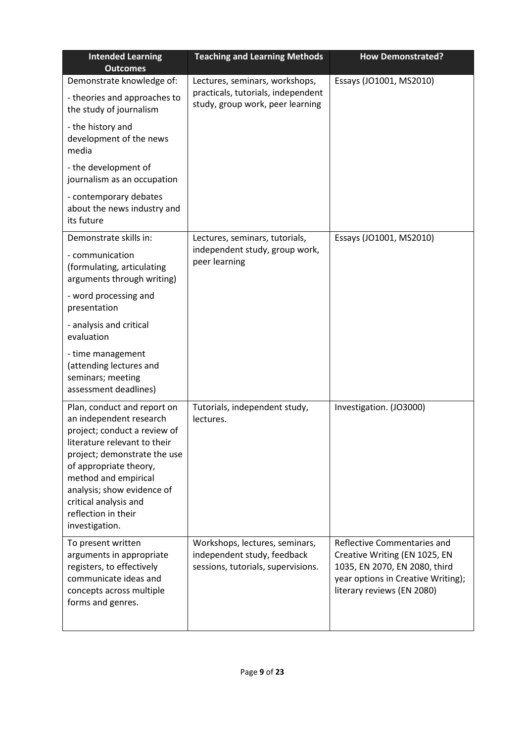| <b>Intended Learning</b><br><b>Outcomes</b>                                                                                                                                                                                                                                                              | <b>Teaching and Learning Methods</b>                                                                     | <b>How Demonstrated?</b>                                                                                                                                          |
|----------------------------------------------------------------------------------------------------------------------------------------------------------------------------------------------------------------------------------------------------------------------------------------------------------|----------------------------------------------------------------------------------------------------------|-------------------------------------------------------------------------------------------------------------------------------------------------------------------|
| Demonstrate knowledge of:<br>- theories and approaches to<br>the study of journalism                                                                                                                                                                                                                     | Lectures, seminars, workshops,<br>practicals, tutorials, independent<br>study, group work, peer learning | Essays (JO1001, MS2010)                                                                                                                                           |
| - the history and<br>development of the news<br>media                                                                                                                                                                                                                                                    |                                                                                                          |                                                                                                                                                                   |
| - the development of<br>journalism as an occupation                                                                                                                                                                                                                                                      |                                                                                                          |                                                                                                                                                                   |
| - contemporary debates<br>about the news industry and<br>its future                                                                                                                                                                                                                                      |                                                                                                          |                                                                                                                                                                   |
| Demonstrate skills in:                                                                                                                                                                                                                                                                                   | Lectures, seminars, tutorials,                                                                           | Essays (JO1001, MS2010)                                                                                                                                           |
| - communication<br>(formulating, articulating<br>arguments through writing)                                                                                                                                                                                                                              | independent study, group work,<br>peer learning                                                          |                                                                                                                                                                   |
| - word processing and<br>presentation                                                                                                                                                                                                                                                                    |                                                                                                          |                                                                                                                                                                   |
| - analysis and critical<br>evaluation                                                                                                                                                                                                                                                                    |                                                                                                          |                                                                                                                                                                   |
| - time management<br>(attending lectures and<br>seminars; meeting<br>assessment deadlines)                                                                                                                                                                                                               |                                                                                                          |                                                                                                                                                                   |
| Plan, conduct and report on<br>an independent research<br>project; conduct a review of<br>literature relevant to their<br>project; demonstrate the use<br>of appropriate theory,<br>method and empirical<br>analysis; show evidence of<br>critical analysis and<br>reflection in their<br>investigation. | Tutorials, independent study,<br>lectures.                                                               | Investigation. (JO3000)                                                                                                                                           |
| To present written<br>arguments in appropriate<br>registers, to effectively<br>communicate ideas and<br>concepts across multiple<br>forms and genres.                                                                                                                                                    | Workshops, lectures, seminars,<br>independent study, feedback<br>sessions, tutorials, supervisions.      | Reflective Commentaries and<br>Creative Writing (EN 1025, EN<br>1035, EN 2070, EN 2080, third<br>year options in Creative Writing);<br>literary reviews (EN 2080) |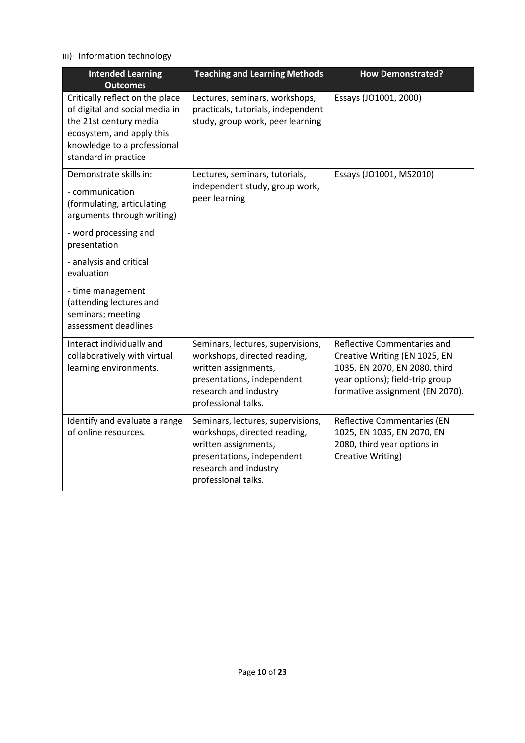## iii) Information technology

| <b>Intended Learning</b><br><b>Outcomes</b>                                                                                                                                     | <b>Teaching and Learning Methods</b>                                                                                                                                    | <b>How Demonstrated?</b>                                                                                                                                            |
|---------------------------------------------------------------------------------------------------------------------------------------------------------------------------------|-------------------------------------------------------------------------------------------------------------------------------------------------------------------------|---------------------------------------------------------------------------------------------------------------------------------------------------------------------|
| Critically reflect on the place<br>of digital and social media in<br>the 21st century media<br>ecosystem, and apply this<br>knowledge to a professional<br>standard in practice | Lectures, seminars, workshops,<br>practicals, tutorials, independent<br>study, group work, peer learning                                                                | Essays (JO1001, 2000)                                                                                                                                               |
| Demonstrate skills in:<br>- communication<br>(formulating, articulating<br>arguments through writing)                                                                           | Lectures, seminars, tutorials,<br>independent study, group work,<br>peer learning                                                                                       | Essays (JO1001, MS2010)                                                                                                                                             |
| - word processing and<br>presentation                                                                                                                                           |                                                                                                                                                                         |                                                                                                                                                                     |
| - analysis and critical<br>evaluation                                                                                                                                           |                                                                                                                                                                         |                                                                                                                                                                     |
| - time management<br>(attending lectures and<br>seminars; meeting<br>assessment deadlines                                                                                       |                                                                                                                                                                         |                                                                                                                                                                     |
| Interact individually and<br>collaboratively with virtual<br>learning environments.                                                                                             | Seminars, lectures, supervisions,<br>workshops, directed reading,<br>written assignments,<br>presentations, independent<br>research and industry<br>professional talks. | Reflective Commentaries and<br>Creative Writing (EN 1025, EN<br>1035, EN 2070, EN 2080, third<br>year options); field-trip group<br>formative assignment (EN 2070). |
| Identify and evaluate a range<br>of online resources.                                                                                                                           | Seminars, lectures, supervisions,<br>workshops, directed reading,<br>written assignments,<br>presentations, independent<br>research and industry<br>professional talks. | <b>Reflective Commentaries (EN</b><br>1025, EN 1035, EN 2070, EN<br>2080, third year options in<br>Creative Writing)                                                |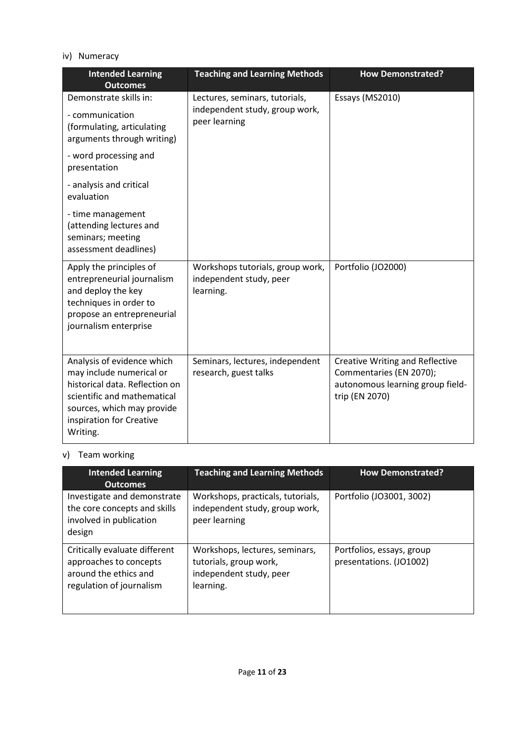## iv) Numeracy

| <b>Intended Learning</b><br><b>Outcomes</b>                                                                                                                                                   | <b>Teaching and Learning Methods</b>                                              | <b>How Demonstrated?</b>                                                                                                |
|-----------------------------------------------------------------------------------------------------------------------------------------------------------------------------------------------|-----------------------------------------------------------------------------------|-------------------------------------------------------------------------------------------------------------------------|
| Demonstrate skills in:<br>- communication<br>(formulating, articulating<br>arguments through writing)                                                                                         | Lectures, seminars, tutorials,<br>independent study, group work,<br>peer learning | Essays (MS2010)                                                                                                         |
| - word processing and<br>presentation                                                                                                                                                         |                                                                                   |                                                                                                                         |
| - analysis and critical<br>evaluation                                                                                                                                                         |                                                                                   |                                                                                                                         |
| - time management<br>(attending lectures and<br>seminars; meeting<br>assessment deadlines)                                                                                                    |                                                                                   |                                                                                                                         |
| Apply the principles of<br>entrepreneurial journalism<br>and deploy the key<br>techniques in order to<br>propose an entrepreneurial<br>journalism enterprise                                  | Workshops tutorials, group work,<br>independent study, peer<br>learning.          | Portfolio (JO2000)                                                                                                      |
| Analysis of evidence which<br>may include numerical or<br>historical data. Reflection on<br>scientific and mathematical<br>sources, which may provide<br>inspiration for Creative<br>Writing. | Seminars, lectures, independent<br>research, guest talks                          | <b>Creative Writing and Reflective</b><br>Commentaries (EN 2070);<br>autonomous learning group field-<br>trip (EN 2070) |

# v) Team working

| <b>Intended Learning</b><br><b>Outcomes</b>                                                                  | <b>Teaching and Learning Methods</b>                                                             | <b>How Demonstrated?</b>                             |
|--------------------------------------------------------------------------------------------------------------|--------------------------------------------------------------------------------------------------|------------------------------------------------------|
| Investigate and demonstrate<br>the core concepts and skills<br>involved in publication<br>design             | Workshops, practicals, tutorials,<br>independent study, group work,<br>peer learning             | Portfolio (JO3001, 3002)                             |
| Critically evaluate different<br>approaches to concepts<br>around the ethics and<br>regulation of journalism | Workshops, lectures, seminars,<br>tutorials, group work,<br>independent study, peer<br>learning. | Portfolios, essays, group<br>presentations. (JO1002) |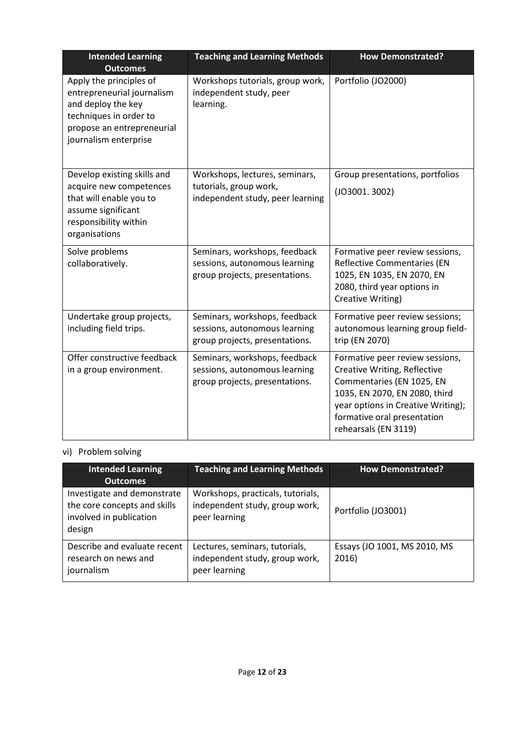| <b>Intended Learning</b><br><b>Outcomes</b>                                                                                                                  | <b>Teaching and Learning Methods</b>                                                             | <b>How Demonstrated?</b>                                                                                                                                                                                                   |
|--------------------------------------------------------------------------------------------------------------------------------------------------------------|--------------------------------------------------------------------------------------------------|----------------------------------------------------------------------------------------------------------------------------------------------------------------------------------------------------------------------------|
| Apply the principles of<br>entrepreneurial journalism<br>and deploy the key<br>techniques in order to<br>propose an entrepreneurial<br>journalism enterprise | Workshops tutorials, group work,<br>independent study, peer<br>learning.                         | Portfolio (JO2000)                                                                                                                                                                                                         |
| Develop existing skills and<br>acquire new competences<br>that will enable you to<br>assume significant<br>responsibility within<br>organisations            | Workshops, lectures, seminars,<br>tutorials, group work,<br>independent study, peer learning     | Group presentations, portfolios<br>(JO3001.3002)                                                                                                                                                                           |
| Solve problems<br>collaboratively.                                                                                                                           | Seminars, workshops, feedback<br>sessions, autonomous learning<br>group projects, presentations. | Formative peer review sessions,<br><b>Reflective Commentaries (EN</b><br>1025, EN 1035, EN 2070, EN<br>2080, third year options in<br>Creative Writing)                                                                    |
| Undertake group projects,<br>including field trips.                                                                                                          | Seminars, workshops, feedback<br>sessions, autonomous learning<br>group projects, presentations. | Formative peer review sessions;<br>autonomous learning group field-<br>trip (EN 2070)                                                                                                                                      |
| Offer constructive feedback<br>in a group environment.                                                                                                       | Seminars, workshops, feedback<br>sessions, autonomous learning<br>group projects, presentations. | Formative peer review sessions,<br>Creative Writing, Reflective<br>Commentaries (EN 1025, EN<br>1035, EN 2070, EN 2080, third<br>year options in Creative Writing);<br>formative oral presentation<br>rehearsals (EN 3119) |

# vi) Problem solving

| <b>Intended Learning</b><br><b>Outcomes</b>                                                      | <b>Teaching and Learning Methods</b>                                                 | <b>How Demonstrated?</b>              |
|--------------------------------------------------------------------------------------------------|--------------------------------------------------------------------------------------|---------------------------------------|
| Investigate and demonstrate<br>the core concepts and skills<br>involved in publication<br>design | Workshops, practicals, tutorials,<br>independent study, group work,<br>peer learning | Portfolio (JO3001)                    |
| Describe and evaluate recent<br>research on news and<br>journalism                               | Lectures, seminars, tutorials,<br>independent study, group work,<br>peer learning    | Essays (JO 1001, MS 2010, MS<br>2016) |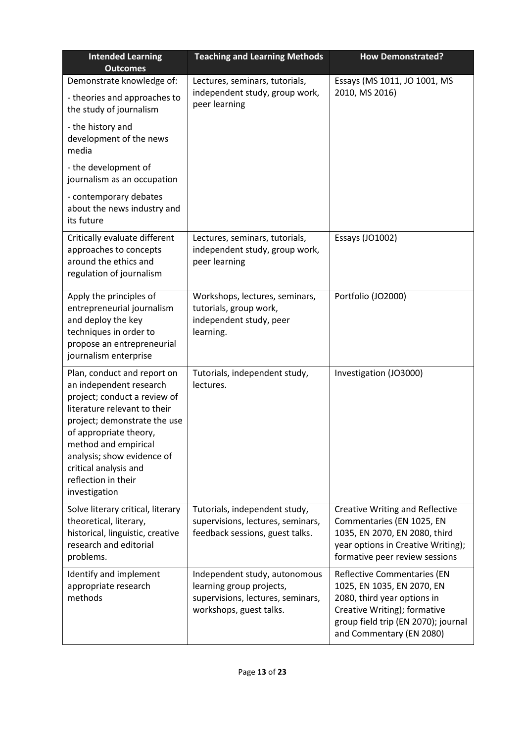| <b>Intended Learning</b><br><b>Outcomes</b>                                                                                                                                                                                                                                                             | <b>Teaching and Learning Methods</b>                                                                                      | <b>How Demonstrated?</b>                                                                                                                                                                           |
|---------------------------------------------------------------------------------------------------------------------------------------------------------------------------------------------------------------------------------------------------------------------------------------------------------|---------------------------------------------------------------------------------------------------------------------------|----------------------------------------------------------------------------------------------------------------------------------------------------------------------------------------------------|
| Demonstrate knowledge of:<br>- theories and approaches to<br>the study of journalism<br>- the history and<br>development of the news                                                                                                                                                                    | Lectures, seminars, tutorials,<br>independent study, group work,<br>peer learning                                         | Essays (MS 1011, JO 1001, MS<br>2010, MS 2016)                                                                                                                                                     |
| media<br>- the development of<br>journalism as an occupation                                                                                                                                                                                                                                            |                                                                                                                           |                                                                                                                                                                                                    |
| - contemporary debates<br>about the news industry and<br>its future                                                                                                                                                                                                                                     |                                                                                                                           |                                                                                                                                                                                                    |
| Critically evaluate different<br>approaches to concepts<br>around the ethics and<br>regulation of journalism                                                                                                                                                                                            | Lectures, seminars, tutorials,<br>independent study, group work,<br>peer learning                                         | Essays (JO1002)                                                                                                                                                                                    |
| Apply the principles of<br>entrepreneurial journalism<br>and deploy the key<br>techniques in order to<br>propose an entrepreneurial<br>journalism enterprise                                                                                                                                            | Workshops, lectures, seminars,<br>tutorials, group work,<br>independent study, peer<br>learning.                          | Portfolio (JO2000)                                                                                                                                                                                 |
| Plan, conduct and report on<br>an independent research<br>project; conduct a review of<br>literature relevant to their<br>project; demonstrate the use<br>of appropriate theory,<br>method and empirical<br>analysis; show evidence of<br>critical analysis and<br>reflection in their<br>investigation | Tutorials, independent study,<br>lectures.                                                                                | Investigation (JO3000)                                                                                                                                                                             |
| Solve literary critical, literary<br>theoretical, literary,<br>historical, linguistic, creative<br>research and editorial<br>problems.                                                                                                                                                                  | Tutorials, independent study,<br>supervisions, lectures, seminars,<br>feedback sessions, guest talks.                     | <b>Creative Writing and Reflective</b><br>Commentaries (EN 1025, EN<br>1035, EN 2070, EN 2080, third<br>year options in Creative Writing);<br>formative peer review sessions                       |
| Identify and implement<br>appropriate research<br>methods                                                                                                                                                                                                                                               | Independent study, autonomous<br>learning group projects,<br>supervisions, lectures, seminars,<br>workshops, guest talks. | <b>Reflective Commentaries (EN</b><br>1025, EN 1035, EN 2070, EN<br>2080, third year options in<br>Creative Writing); formative<br>group field trip (EN 2070); journal<br>and Commentary (EN 2080) |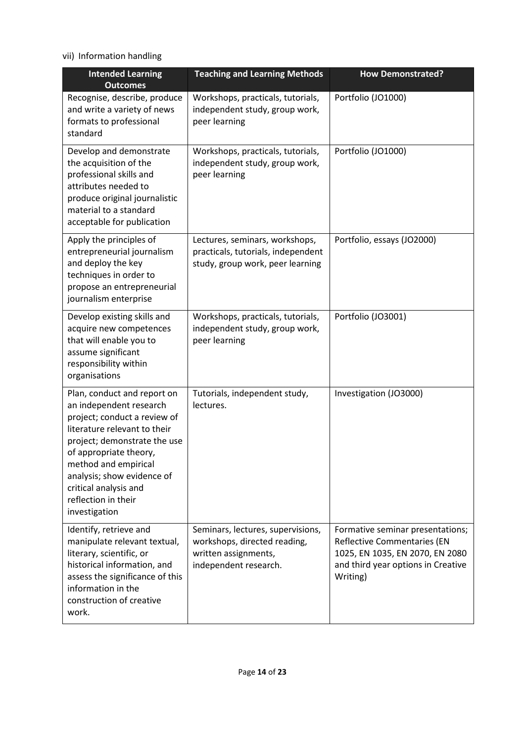vii) Information handling

| <b>Intended Learning</b><br><b>Outcomes</b>                                                                                                                                                                                                                                                             | <b>Teaching and Learning Methods</b>                                                                               | <b>How Demonstrated?</b>                                                                                                                                    |
|---------------------------------------------------------------------------------------------------------------------------------------------------------------------------------------------------------------------------------------------------------------------------------------------------------|--------------------------------------------------------------------------------------------------------------------|-------------------------------------------------------------------------------------------------------------------------------------------------------------|
| Recognise, describe, produce<br>and write a variety of news<br>formats to professional<br>standard                                                                                                                                                                                                      | Workshops, practicals, tutorials,<br>independent study, group work,<br>peer learning                               | Portfolio (JO1000)                                                                                                                                          |
| Develop and demonstrate<br>the acquisition of the<br>professional skills and<br>attributes needed to<br>produce original journalistic<br>material to a standard<br>acceptable for publication                                                                                                           | Workshops, practicals, tutorials,<br>independent study, group work,<br>peer learning                               | Portfolio (JO1000)                                                                                                                                          |
| Apply the principles of<br>entrepreneurial journalism<br>and deploy the key<br>techniques in order to<br>propose an entrepreneurial<br>journalism enterprise                                                                                                                                            | Lectures, seminars, workshops,<br>practicals, tutorials, independent<br>study, group work, peer learning           | Portfolio, essays (JO2000)                                                                                                                                  |
| Develop existing skills and<br>acquire new competences<br>that will enable you to<br>assume significant<br>responsibility within<br>organisations                                                                                                                                                       | Workshops, practicals, tutorials,<br>independent study, group work,<br>peer learning                               | Portfolio (JO3001)                                                                                                                                          |
| Plan, conduct and report on<br>an independent research<br>project; conduct a review of<br>literature relevant to their<br>project; demonstrate the use<br>of appropriate theory,<br>method and empirical<br>analysis; show evidence of<br>critical analysis and<br>reflection in their<br>investigation | Tutorials, independent study,<br>lectures.                                                                         | Investigation (JO3000)                                                                                                                                      |
| Identify, retrieve and<br>manipulate relevant textual,<br>literary, scientific, or<br>historical information, and<br>assess the significance of this<br>information in the<br>construction of creative<br>work.                                                                                         | Seminars, lectures, supervisions,<br>workshops, directed reading,<br>written assignments,<br>independent research. | Formative seminar presentations;<br><b>Reflective Commentaries (EN</b><br>1025, EN 1035, EN 2070, EN 2080<br>and third year options in Creative<br>Writing) |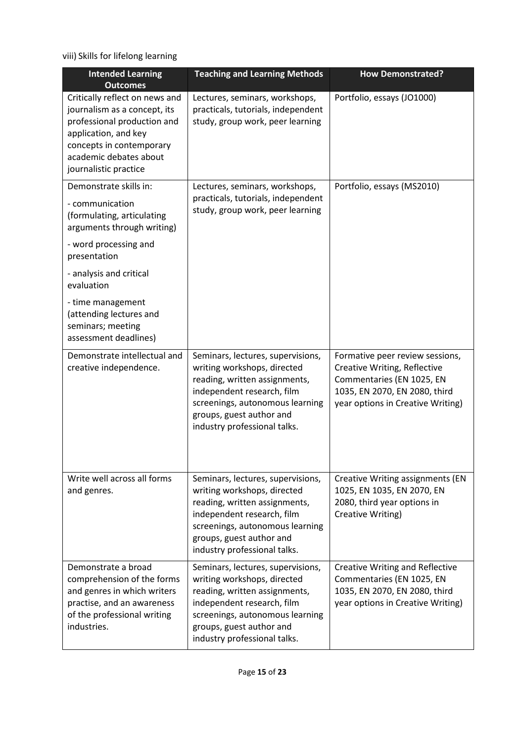viii) Skills for lifelong learning

| <b>Intended Learning</b><br><b>Outcomes</b>                                                                                                                                                          | <b>Teaching and Learning Methods</b>                                                                                                                                                                                           | <b>How Demonstrated?</b>                                                                                                                                           |
|------------------------------------------------------------------------------------------------------------------------------------------------------------------------------------------------------|--------------------------------------------------------------------------------------------------------------------------------------------------------------------------------------------------------------------------------|--------------------------------------------------------------------------------------------------------------------------------------------------------------------|
| Critically reflect on news and<br>journalism as a concept, its<br>professional production and<br>application, and key<br>concepts in contemporary<br>academic debates about<br>journalistic practice | Lectures, seminars, workshops,<br>practicals, tutorials, independent<br>study, group work, peer learning                                                                                                                       | Portfolio, essays (JO1000)                                                                                                                                         |
| Demonstrate skills in:<br>- communication<br>(formulating, articulating<br>arguments through writing)<br>- word processing and                                                                       | Lectures, seminars, workshops,<br>practicals, tutorials, independent<br>study, group work, peer learning                                                                                                                       | Portfolio, essays (MS2010)                                                                                                                                         |
| presentation<br>- analysis and critical<br>evaluation                                                                                                                                                |                                                                                                                                                                                                                                |                                                                                                                                                                    |
| - time management<br>(attending lectures and<br>seminars; meeting<br>assessment deadlines)                                                                                                           |                                                                                                                                                                                                                                |                                                                                                                                                                    |
| Demonstrate intellectual and<br>creative independence.                                                                                                                                               | Seminars, lectures, supervisions,<br>writing workshops, directed<br>reading, written assignments,<br>independent research, film<br>screenings, autonomous learning<br>groups, guest author and<br>industry professional talks. | Formative peer review sessions,<br>Creative Writing, Reflective<br>Commentaries (EN 1025, EN<br>1035, EN 2070, EN 2080, third<br>year options in Creative Writing) |
| Write well across all forms<br>and genres.                                                                                                                                                           | Seminars, lectures, supervisions,<br>writing workshops, directed<br>reading, written assignments,<br>independent research, film<br>screenings, autonomous learning<br>groups, guest author and<br>industry professional talks. | <b>Creative Writing assignments (EN</b><br>1025, EN 1035, EN 2070, EN<br>2080, third year options in<br>Creative Writing)                                          |
| Demonstrate a broad<br>comprehension of the forms<br>and genres in which writers<br>practise, and an awareness<br>of the professional writing<br>industries.                                         | Seminars, lectures, supervisions,<br>writing workshops, directed<br>reading, written assignments,<br>independent research, film<br>screenings, autonomous learning<br>groups, guest author and<br>industry professional talks. | <b>Creative Writing and Reflective</b><br>Commentaries (EN 1025, EN<br>1035, EN 2070, EN 2080, third<br>year options in Creative Writing)                          |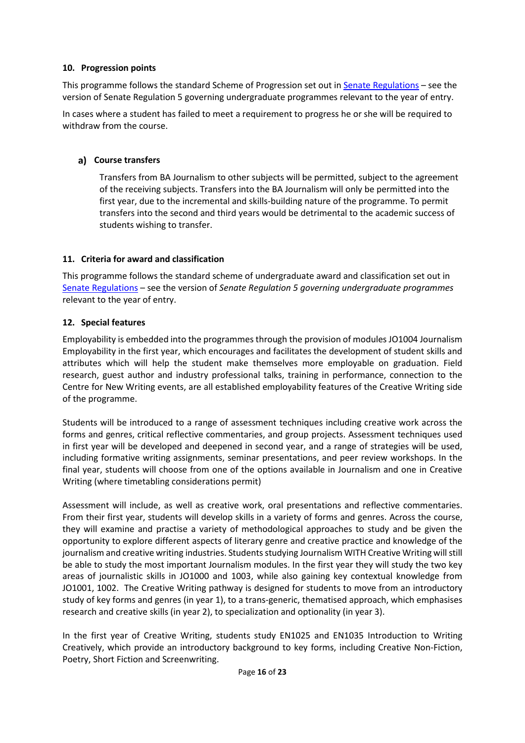## **10. Progression points**

This programme follows the standard Scheme of Progression set out i[n Senate Regulations](http://www.le.ac.uk/senate-regulations) – see the version of Senate Regulation 5 governing undergraduate programmes relevant to the year of entry.

In cases where a student has failed to meet a requirement to progress he or she will be required to withdraw from the course.

#### **Course transfers**

Transfers from BA Journalism to other subjects will be permitted, subject to the agreement of the receiving subjects. Transfers into the BA Journalism will only be permitted into the first year, due to the incremental and skills-building nature of the programme. To permit transfers into the second and third years would be detrimental to the academic success of students wishing to transfer.

#### **11. Criteria for award and classification**

This programme follows the standard scheme of undergraduate award and classification set out in Senate [Regulations](http://www.le.ac.uk/senate-regulations) – see the version of *Senate Regulation 5 governing undergraduate programmes* relevant to the year of entry.

#### **12. Special features**

Employability is embedded into the programmes through the provision of modules JO1004 Journalism Employability in the first year, which encourages and facilitates the development of student skills and attributes which will help the student make themselves more employable on graduation. Field research, guest author and industry professional talks, training in performance, connection to the Centre for New Writing events, are all established employability features of the Creative Writing side of the programme.

Students will be introduced to a range of assessment techniques including creative work across the forms and genres, critical reflective commentaries, and group projects. Assessment techniques used in first year will be developed and deepened in second year, and a range of strategies will be used, including formative writing assignments, seminar presentations, and peer review workshops. In the final year, students will choose from one of the options available in Journalism and one in Creative Writing (where timetabling considerations permit)

Assessment will include, as well as creative work, oral presentations and reflective commentaries. From their first year, students will develop skills in a variety of forms and genres. Across the course, they will examine and practise a variety of methodological approaches to study and be given the opportunity to explore different aspects of literary genre and creative practice and knowledge of the journalism and creative writing industries. Students studying Journalism WITH Creative Writing will still be able to study the most important Journalism modules. In the first year they will study the two key areas of journalistic skills in JO1000 and 1003, while also gaining key contextual knowledge from JO1001, 1002. The Creative Writing pathway is designed for students to move from an introductory study of key forms and genres (in year 1), to a trans-generic, thematised approach, which emphasises research and creative skills (in year 2), to specialization and optionality (in year 3).

In the first year of Creative Writing, students study EN1025 and EN1035 Introduction to Writing Creatively, which provide an introductory background to key forms, including Creative Non-Fiction, Poetry, Short Fiction and Screenwriting.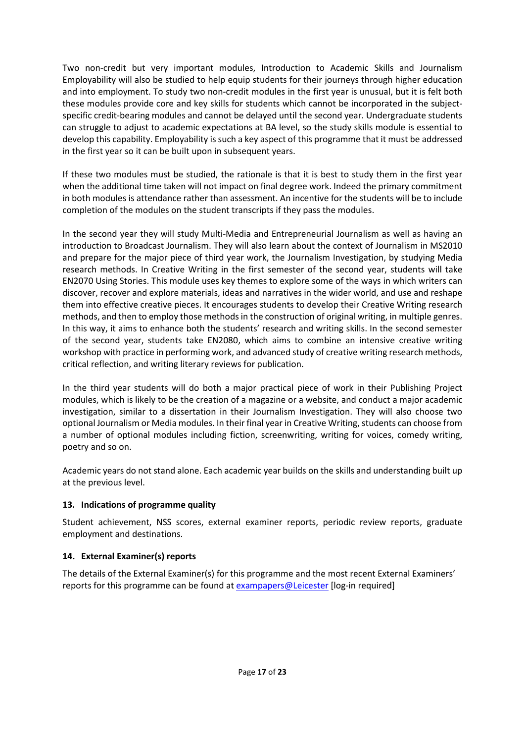Two non-credit but very important modules, Introduction to Academic Skills and Journalism Employability will also be studied to help equip students for their journeys through higher education and into employment. To study two non-credit modules in the first year is unusual, but it is felt both these modules provide core and key skills for students which cannot be incorporated in the subjectspecific credit-bearing modules and cannot be delayed until the second year. Undergraduate students can struggle to adjust to academic expectations at BA level, so the study skills module is essential to develop this capability. Employability is such a key aspect of this programme that it must be addressed in the first year so it can be built upon in subsequent years.

If these two modules must be studied, the rationale is that it is best to study them in the first year when the additional time taken will not impact on final degree work. Indeed the primary commitment in both modules is attendance rather than assessment. An incentive for the students will be to include completion of the modules on the student transcripts if they pass the modules.

In the second year they will study Multi-Media and Entrepreneurial Journalism as well as having an introduction to Broadcast Journalism. They will also learn about the context of Journalism in MS2010 and prepare for the major piece of third year work, the Journalism Investigation, by studying Media research methods. In Creative Writing in the first semester of the second year, students will take EN2070 Using Stories. This module uses key themes to explore some of the ways in which writers can discover, recover and explore materials, ideas and narratives in the wider world, and use and reshape them into effective creative pieces. It encourages students to develop their Creative Writing research methods, and then to employ those methods in the construction of original writing, in multiple genres. In this way, it aims to enhance both the students' research and writing skills. In the second semester of the second year, students take EN2080, which aims to combine an intensive creative writing workshop with practice in performing work, and advanced study of creative writing research methods, critical reflection, and writing literary reviews for publication.

In the third year students will do both a major practical piece of work in their Publishing Project modules, which is likely to be the creation of a magazine or a website, and conduct a major academic investigation, similar to a dissertation in their Journalism Investigation. They will also choose two optional Journalism or Media modules. In their final year in Creative Writing, students can choose from a number of optional modules including fiction, screenwriting, writing for voices, comedy writing, poetry and so on.

Academic years do not stand alone. Each academic year builds on the skills and understanding built up at the previous level.

## **13. Indications of programme quality**

Student achievement, NSS scores, external examiner reports, periodic review reports, graduate employment and destinations.

## **14. External Examiner(s) reports**

The details of the External Examiner(s) for this programme and the most recent External Examiners' reports for this programme can be found at [exampapers@Leicester](https://exampapers.le.ac.uk/) [log-in required]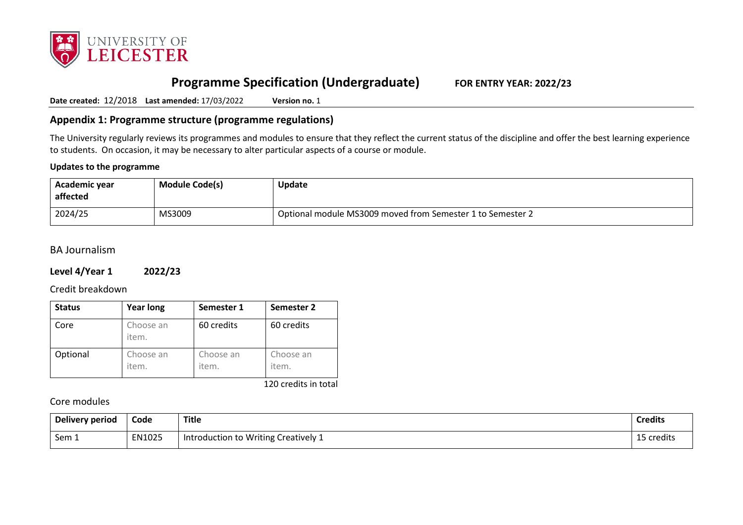

# **Programme Specification (Undergraduate) FOR ENTRY YEAR: 2022/23**

**Date created:** 12/2018 **Last amended:** 17/03/2022 **Version no.** 1

**Appendix 1: Programme structure (programme regulations)**

The University regularly reviews its programmes and modules to ensure that they reflect the current status of the discipline and offer the best learning experience to students. On occasion, it may be necessary to alter particular aspects of a course or module.

#### **Updates to the programme**

| Academic year<br>affected | <b>Module Code(s)</b> | <b>Update</b>                                              |
|---------------------------|-----------------------|------------------------------------------------------------|
| 2024/25                   | MS3009                | Optional module MS3009 moved from Semester 1 to Semester 2 |

## BA Journalism

#### **Level 4/Year 1 2022/23**

Credit breakdown

| <b>Status</b> | <b>Year long</b>   | Semester 1         | Semester 2         |
|---------------|--------------------|--------------------|--------------------|
| Core          | Choose an<br>item. | 60 credits         | 60 credits         |
| Optional      | Choose an<br>item. | Choose an<br>item. | Choose an<br>item. |

120 credits in total

#### Core modules

| Delivery period | Code   | Title                                | <b>Credits</b> |
|-----------------|--------|--------------------------------------|----------------|
| Sem 1           | EN1025 | Introduction to Writing Creatively 1 | 15 credits     |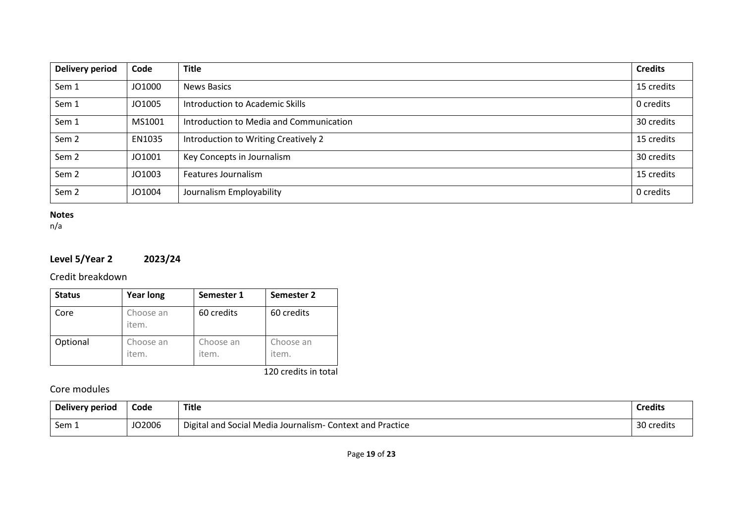| <b>Delivery period</b> | Code   | <b>Title</b>                            | <b>Credits</b> |
|------------------------|--------|-----------------------------------------|----------------|
| Sem 1                  | JO1000 | <b>News Basics</b>                      | 15 credits     |
| Sem 1                  | JO1005 | Introduction to Academic Skills         | 0 credits      |
| Sem 1                  | MS1001 | Introduction to Media and Communication | 30 credits     |
| Sem <sub>2</sub>       | EN1035 | Introduction to Writing Creatively 2    | 15 credits     |
| Sem <sub>2</sub>       | JO1001 | Key Concepts in Journalism              | 30 credits     |
| Sem <sub>2</sub>       | JO1003 | Features Journalism                     | 15 credits     |
| Sem <sub>2</sub>       | JO1004 | Journalism Employability                | 0 credits      |

## **Notes**

n/a

# **Level 5/Year 2 2023/24**

Credit breakdown

| <b>Status</b> | <b>Year long</b>   | Semester 1         | Semester 2         |
|---------------|--------------------|--------------------|--------------------|
| Core          | Choose an<br>item. | 60 credits         | 60 credits         |
| Optional      | Choose an<br>item. | Choose an<br>item. | Choose an<br>item. |

120 credits in total

# Core modules

| Delivery period | Code   | Title                                                                    | <b>Credits</b> |
|-----------------|--------|--------------------------------------------------------------------------|----------------|
| Sem 1           | JO2006 | Digital and<br><b>Context and Practice</b><br>d Social Media Journalism- | 30 credits     |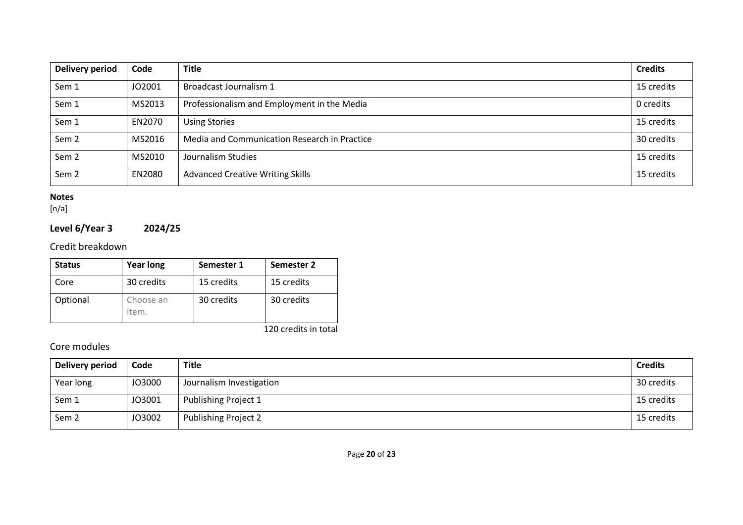| Delivery period  | Code   | <b>Title</b>                                 | <b>Credits</b> |
|------------------|--------|----------------------------------------------|----------------|
| Sem 1            | JO2001 | Broadcast Journalism 1                       | 15 credits     |
| Sem 1            | MS2013 | Professionalism and Employment in the Media  | 0 credits      |
| Sem 1            | EN2070 | <b>Using Stories</b>                         | 15 credits     |
| Sem <sub>2</sub> | MS2016 | Media and Communication Research in Practice | 30 credits     |
| Sem <sub>2</sub> | MS2010 | Journalism Studies                           | 15 credits     |
| Sem <sub>2</sub> | EN2080 | <b>Advanced Creative Writing Skills</b>      | 15 credits     |

## **Notes**

[n/a]

# **Level 6/Year 3 2024/25**

Credit breakdown

| <b>Status</b>        | <b>Year long</b>   | Semester 1 | Semester 2 |  |
|----------------------|--------------------|------------|------------|--|
| Core                 | 30 credits         | 15 credits | 15 credits |  |
| Optional             | Choose an<br>item. | 30 credits | 30 credits |  |
| 120 credits in total |                    |            |            |  |

Core modules

| Delivery period  | Code   | <b>Title</b>                | <b>Credits</b> |
|------------------|--------|-----------------------------|----------------|
| Year long        | JO3000 | Journalism Investigation    | 30 credits     |
| Sem 1            | JO3001 | Publishing Project 1        | 15 credits     |
| Sem <sub>2</sub> | JO3002 | <b>Publishing Project 2</b> | 15 credits     |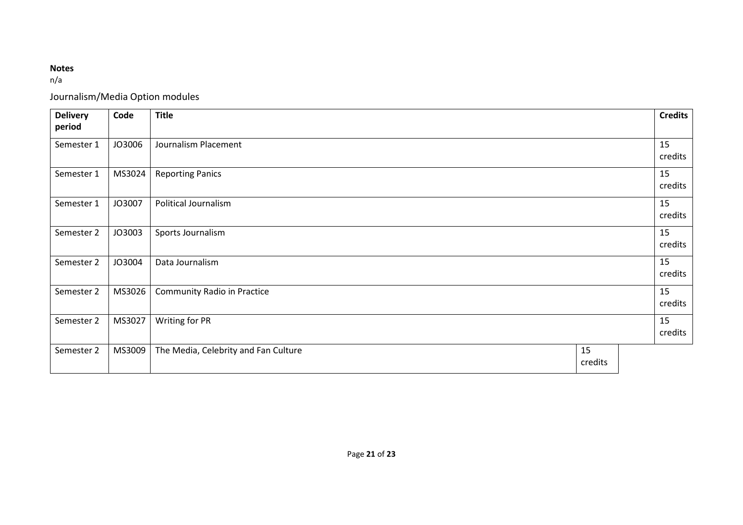# **Notes**

n/a

Journalism/Media Option modules

| <b>Delivery</b><br>period | Code   | <b>Title</b>                         |               |  | <b>Credits</b> |
|---------------------------|--------|--------------------------------------|---------------|--|----------------|
| Semester 1                | JO3006 | Journalism Placement                 |               |  | 15<br>credits  |
| Semester 1                | MS3024 | <b>Reporting Panics</b>              |               |  | 15<br>credits  |
| Semester 1                | JO3007 | Political Journalism                 |               |  | 15<br>credits  |
| Semester 2                | JO3003 | Sports Journalism                    |               |  | 15<br>credits  |
| Semester 2                | JO3004 | Data Journalism                      |               |  | 15<br>credits  |
| Semester 2                | MS3026 | <b>Community Radio in Practice</b>   |               |  | 15<br>credits  |
| Semester 2                | MS3027 | Writing for PR                       |               |  | 15<br>credits  |
| Semester 2                | MS3009 | The Media, Celebrity and Fan Culture | 15<br>credits |  |                |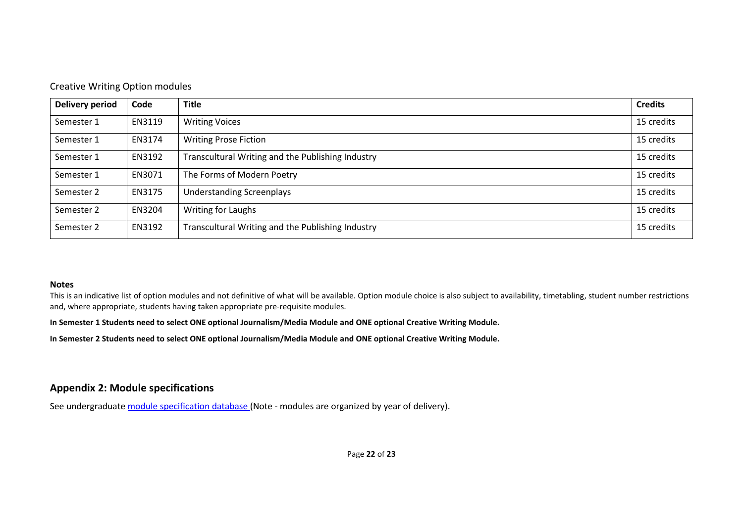#### Creative Writing Option modules

| Delivery period | Code   | <b>Title</b>                                      | <b>Credits</b> |
|-----------------|--------|---------------------------------------------------|----------------|
| Semester 1      | EN3119 | <b>Writing Voices</b>                             | 15 credits     |
| Semester 1      | EN3174 | <b>Writing Prose Fiction</b>                      | 15 credits     |
| Semester 1      | EN3192 | Transcultural Writing and the Publishing Industry | 15 credits     |
| Semester 1      | EN3071 | The Forms of Modern Poetry                        | 15 credits     |
| Semester 2      | EN3175 | <b>Understanding Screenplays</b>                  | 15 credits     |
| Semester 2      | EN3204 | Writing for Laughs                                | 15 credits     |
| Semester 2      | EN3192 | Transcultural Writing and the Publishing Industry | 15 credits     |

#### **Notes**

This is an indicative list of option modules and not definitive of what will be available. Option module choice is also subject to availability, timetabling, student number restrictions and, where appropriate, students having taken appropriate pre-requisite modules.

**In Semester 1 Students need to select ONE optional Journalism/Media Module and ONE optional Creative Writing Module.**

**In Semester 2 Students need to select ONE optional Journalism/Media Module and ONE optional Creative Writing Module.**

## **Appendix 2: Module specifications**

See undergraduat[e module specification database](http://www.le.ac.uk/sas/courses/documentation) (Note - modules are organized by year of delivery).